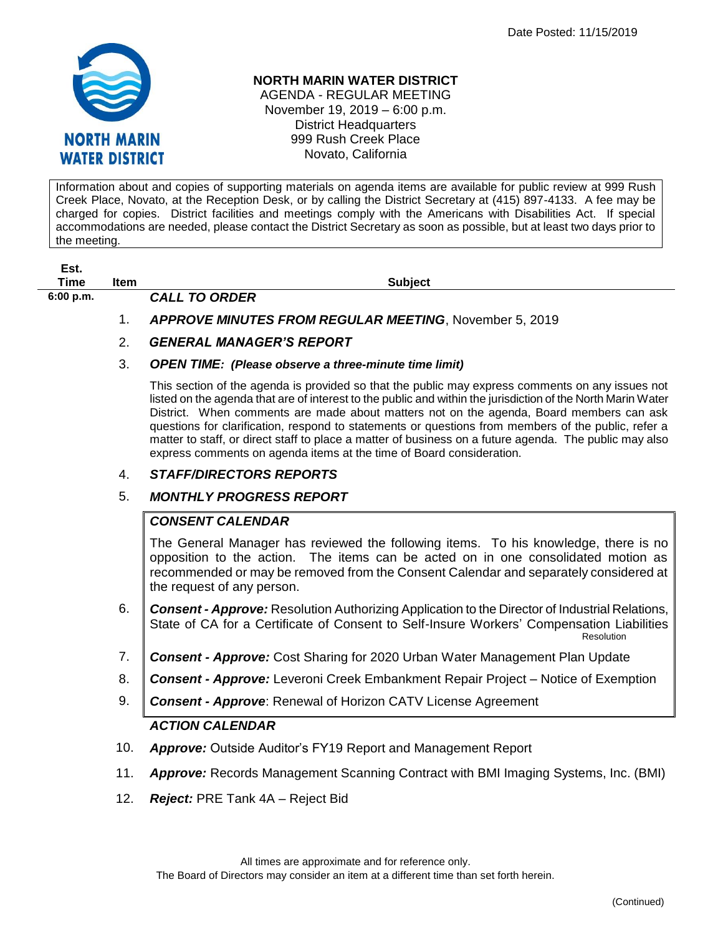

#### **NORTH MARIN WATER DISTRICT**

AGENDA - REGULAR MEETING November 19, 2019 – 6:00 p.m. District Headquarters 999 Rush Creek Place Novato, California

Information about and copies of supporting materials on agenda items are available for public review at 999 Rush Creek Place, Novato, at the Reception Desk, or by calling the District Secretary at (415) 897-4133. A fee may be charged for copies. District facilities and meetings comply with the Americans with Disabilities Act. If special accommodations are needed, please contact the District Secretary as soon as possible, but at least two days prior to the meeting.

| St.<br>- 1 |  |
|------------|--|
| Time       |  |

**6:00 p.m.** *CALL TO ORDER* 

**The Item Item Subject** 

1. *APPROVE MINUTES FROM REGULAR MEETING*, November 5, 2019

### 2. *GENERAL MANAGER'S REPORT*

#### 3. *OPEN TIME: (Please observe a three-minute time limit)*

This section of the agenda is provided so that the public may express comments on any issues not listed on the agenda that are of interest to the public and within the jurisdiction of the North Marin Water District. When comments are made about matters not on the agenda, Board members can ask questions for clarification, respond to statements or questions from members of the public, refer a matter to staff, or direct staff to place a matter of business on a future agenda. The public may also express comments on agenda items at the time of Board consideration.

### 4. *STAFF/DIRECTORS REPORTS*

### 5. *MONTHLY PROGRESS REPORT*

# *CONSENT CALENDAR*

The General Manager has reviewed the following items. To his knowledge, there is no opposition to the action. The items can be acted on in one consolidated motion as recommended or may be removed from the Consent Calendar and separately considered at the request of any person.

- 6. *Consent - Approve:* Resolution Authorizing Application to the Director of Industrial Relations, State of CA for a Certificate of Consent to Self-Insure Workers' Compensation Liabilities **Resolution Resolution**
- 7. *Consent - Approve:* Cost Sharing for 2020 Urban Water Management Plan Update
- 8. *Consent - Approve:* Leveroni Creek Embankment Repair Project Notice of Exemption
- 9. *Consent - Approve*: Renewal of Horizon CATV License Agreement

# *ACTION CALENDAR*

- 10. *Approve:* Outside Auditor's FY19 Report and Management Report
- 11. *Approve:* Records Management Scanning Contract with BMI Imaging Systems, Inc. (BMI)
- 12. *Reject:* PRE Tank 4A Reject Bid